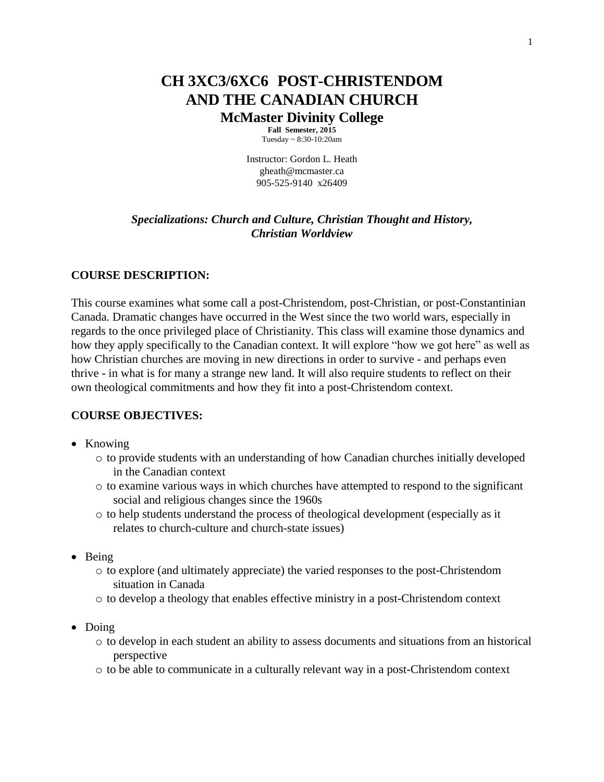# **CH 3XC3/6XC6 POST-CHRISTENDOM AND THE CANADIAN CHURCH McMaster Divinity College**

**Fall Semester, 2015** Tuesday ~ 8:30-10:20am

Instructor: Gordon L. Heath gheath@mcmaster.ca 905-525-9140 x26409

### *Specializations: Church and Culture, Christian Thought and History, Christian Worldview*

### **COURSE DESCRIPTION:**

This course examines what some call a post-Christendom, post-Christian, or post-Constantinian Canada. Dramatic changes have occurred in the West since the two world wars, especially in regards to the once privileged place of Christianity. This class will examine those dynamics and how they apply specifically to the Canadian context. It will explore "how we got here" as well as how Christian churches are moving in new directions in order to survive - and perhaps even thrive - in what is for many a strange new land. It will also require students to reflect on their own theological commitments and how they fit into a post-Christendom context.

#### **COURSE OBJECTIVES:**

- Knowing
	- o to provide students with an understanding of how Canadian churches initially developed in the Canadian context
	- o to examine various ways in which churches have attempted to respond to the significant social and religious changes since the 1960s
	- o to help students understand the process of theological development (especially as it relates to church-culture and church-state issues)
- $\bullet$  Being
	- o to explore (and ultimately appreciate) the varied responses to the post-Christendom situation in Canada
	- o to develop a theology that enables effective ministry in a post-Christendom context
- Doing
	- o to develop in each student an ability to assess documents and situations from an historical perspective
	- o to be able to communicate in a culturally relevant way in a post-Christendom context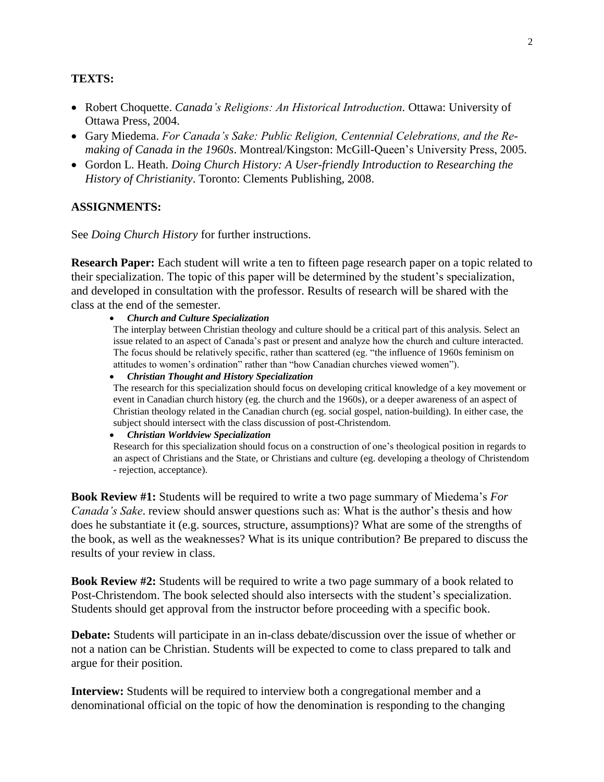#### **TEXTS:**

- Robert Choquette. *Canada's Religions: An Historical Introduction*. Ottawa: University of Ottawa Press, 2004.
- Gary Miedema. *For Canada's Sake: Public Religion, Centennial Celebrations, and the Remaking of Canada in the 1960s*. Montreal/Kingston: McGill-Queen's University Press, 2005.
- Gordon L. Heath. *Doing Church History: A User-friendly Introduction to Researching the History of Christianity*. Toronto: Clements Publishing, 2008.

#### **ASSIGNMENTS:**

See *Doing Church History* for further instructions.

**Research Paper:** Each student will write a ten to fifteen page research paper on a topic related to their specialization. The topic of this paper will be determined by the student's specialization, and developed in consultation with the professor. Results of research will be shared with the class at the end of the semester.

*Church and Culture Specialization*

The interplay between Christian theology and culture should be a critical part of this analysis. Select an issue related to an aspect of Canada's past or present and analyze how the church and culture interacted. The focus should be relatively specific, rather than scattered (eg. "the influence of 1960s feminism on attitudes to women's ordination" rather than "how Canadian churches viewed women").

 *Christian Thought and History Specialization* The research for this specialization should focus on developing critical knowledge of a key movement or event in Canadian church history (eg. the church and the 1960s), or a deeper awareness of an aspect of Christian theology related in the Canadian church (eg. social gospel, nation-building). In either case, the subject should intersect with the class discussion of post-Christendom.

#### *Christian Worldview Specialization*

Research for this specialization should focus on a construction of one's theological position in regards to an aspect of Christians and the State, or Christians and culture (eg. developing a theology of Christendom - rejection, acceptance).

**Book Review #1:** Students will be required to write a two page summary of Miedema's *For Canada's Sake*. review should answer questions such as: What is the author's thesis and how does he substantiate it (e.g. sources, structure, assumptions)? What are some of the strengths of the book, as well as the weaknesses? What is its unique contribution? Be prepared to discuss the results of your review in class.

**Book Review #2:** Students will be required to write a two page summary of a book related to Post-Christendom. The book selected should also intersects with the student's specialization. Students should get approval from the instructor before proceeding with a specific book.

**Debate:** Students will participate in an in-class debate/discussion over the issue of whether or not a nation can be Christian. Students will be expected to come to class prepared to talk and argue for their position.

**Interview:** Students will be required to interview both a congregational member and a denominational official on the topic of how the denomination is responding to the changing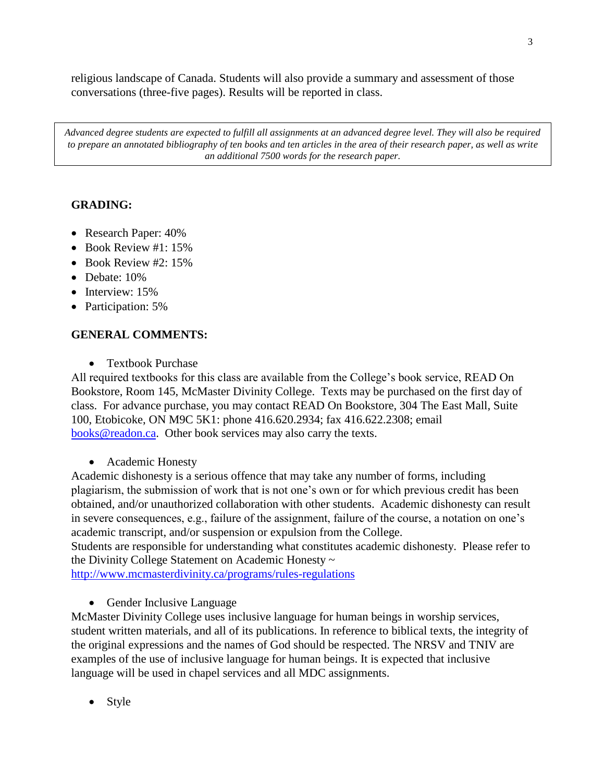religious landscape of Canada. Students will also provide a summary and assessment of those conversations (three-five pages). Results will be reported in class.

*Advanced degree students are expected to fulfill all assignments at an advanced degree level. They will also be required to prepare an annotated bibliography of ten books and ten articles in the area of their research paper, as well as write an additional 7500 words for the research paper.*

## **GRADING:**

- Research Paper:  $40\%$
- Book Review #1: 15%
- Book Review #2: 15%
- Debate: 10%
- $\bullet$  Interview: 15%
- Participation: 5%

## **GENERAL COMMENTS:**

• Textbook Purchase

All required textbooks for this class are available from the College's book service, READ On Bookstore, Room 145, McMaster Divinity College. Texts may be purchased on the first day of class. For advance purchase, you may contact READ On Bookstore, 304 The East Mall, Suite 100, Etobicoke, ON M9C 5K1: phone 416.620.2934; fax 416.622.2308; email [books@readon.ca.](mailto:books@readon.ca) Other book services may also carry the texts.

• Academic Honesty

Academic dishonesty is a serious offence that may take any number of forms, including plagiarism, the submission of work that is not one's own or for which previous credit has been obtained, and/or unauthorized collaboration with other students. Academic dishonesty can result in severe consequences, e.g., failure of the assignment, failure of the course, a notation on one's academic transcript, and/or suspension or expulsion from the College.

Students are responsible for understanding what constitutes academic dishonesty. Please refer to the Divinity College Statement on Academic Honesty ~

<http://www.mcmasterdivinity.ca/programs/rules-regulations>

• Gender Inclusive Language

McMaster Divinity College uses inclusive language for human beings in worship services, student written materials, and all of its publications. In reference to biblical texts, the integrity of the original expressions and the names of God should be respected. The NRSV and TNIV are examples of the use of inclusive language for human beings. It is expected that inclusive language will be used in chapel services and all MDC assignments.

• Style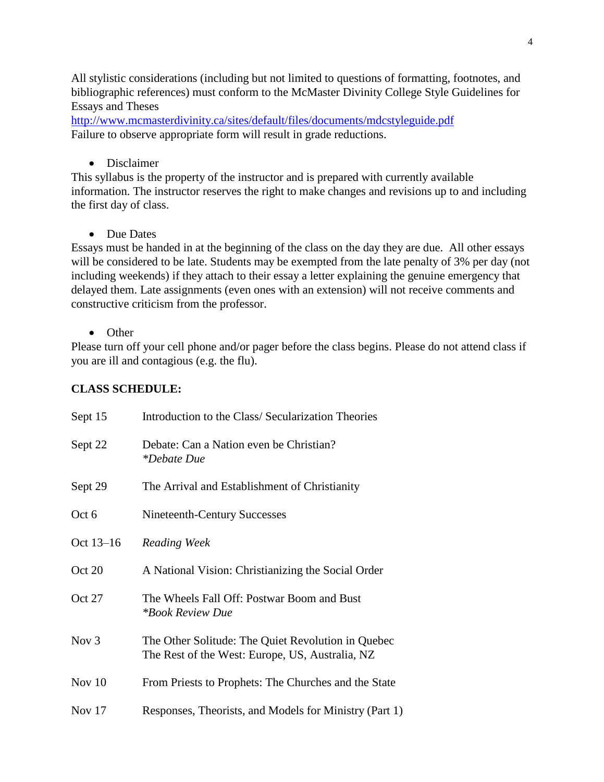All stylistic considerations (including but not limited to questions of formatting, footnotes, and bibliographic references) must conform to the McMaster Divinity College Style Guidelines for Essays and Theses

[http://www.mcmasterdivinity.ca/sites/default/files/documents/mdcstyleguide.pdf](http://www.mcmasterdivinity.ca/sites/default/files/documents/MDCStyleGuide.pdf) Failure to observe appropriate form will result in grade reductions.

• Disclaimer

This syllabus is the property of the instructor and is prepared with currently available information. The instructor reserves the right to make changes and revisions up to and including the first day of class.

• Due Dates

Essays must be handed in at the beginning of the class on the day they are due. All other essays will be considered to be late. Students may be exempted from the late penalty of 3% per day (not including weekends) if they attach to their essay a letter explaining the genuine emergency that delayed them. Late assignments (even ones with an extension) will not receive comments and constructive criticism from the professor.

• Other

Please turn off your cell phone and/or pager before the class begins. Please do not attend class if you are ill and contagious (e.g. the flu).

### **CLASS SCHEDULE:**

| Sept 15   | Introduction to the Class/Secularization Theories                                                     |
|-----------|-------------------------------------------------------------------------------------------------------|
| Sept 22   | Debate: Can a Nation even be Christian?<br><i>*Debate Due</i>                                         |
| Sept 29   | The Arrival and Establishment of Christianity                                                         |
| Oct 6     | Nineteenth-Century Successes                                                                          |
| Oct 13-16 | Reading Week                                                                                          |
| Oct 20    | A National Vision: Christianizing the Social Order                                                    |
| Oct 27    | The Wheels Fall Off: Postwar Boom and Bust<br><i>*Book Review Due</i>                                 |
| Nov $3$   | The Other Solitude: The Quiet Revolution in Quebec<br>The Rest of the West: Europe, US, Australia, NZ |
| Nov $10$  | From Priests to Prophets: The Churches and the State                                                  |
| Nov 17    | Responses, Theorists, and Models for Ministry (Part 1)                                                |